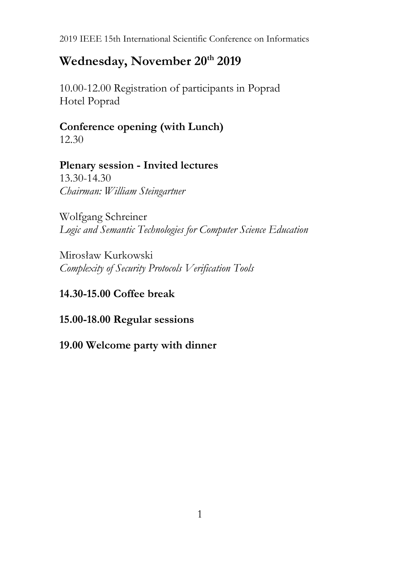# **Wednesday, November 20th 2019**

10.00-12.00 Registration of participants in Poprad Hotel Poprad

# **Conference opening (with Lunch)**

12.30

# **Plenary session - Invited lectures**

13.30-14.30 *Chairman: William Steingartner*

Wolfgang Schreiner *Logic and Semantic Technologies for Computer Science Education*

Mirosław Kurkowski *Complexity of Security Protocols Verification Tools*

# **14.30-15.00 Coffee break**

# **15.00-18.00 Regular sessions**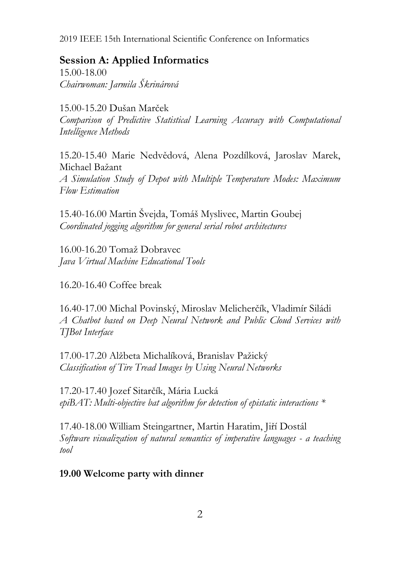### **Session A: Applied Informatics**

15.00-18.00 *Chairwoman: Jarmila Škrinárová*

15.00-15.20 Dušan Marček *Comparison of Predictive Statistical Learning Accuracy with Computational Intelligence Methods*

15.20-15.40 Marie Nedvědová, Alena Pozdílková, Jaroslav Marek, Michael Bažant *A Simulation Study of Depot with Multiple Temperature Modes: Maximum* 

*Flow Estimation*

15.40-16.00 Martin Švejda, Tomáš Myslivec, Martin Goubej *Coordinated jogging algorithm for general serial robot architectures*

16.00-16.20 Tomaž Dobravec *Java Virtual Machine Educational Tools*

16.20-16.40 Coffee break

16.40-17.00 Michal Povinský, Miroslav Melicherčík, Vladimír Siládi *A Chatbot based on Deep Neural Network and Public Cloud Services with TJBot Interface*

17.00-17.20 Alžbeta Michalíková, Branislav Pažický *Classification of Tire Tread Images by Using Neural Networks*

17.20-17.40 Jozef Sitarčík, Mária Lucká *epiBAT: Multi-objective bat algorithm for detection of epistatic interactions \**

17.40-18.00 William Steingartner, Martin Haratim, Jiří Dostál *Software visualization of natural semantics of imperative languages - a teaching tool*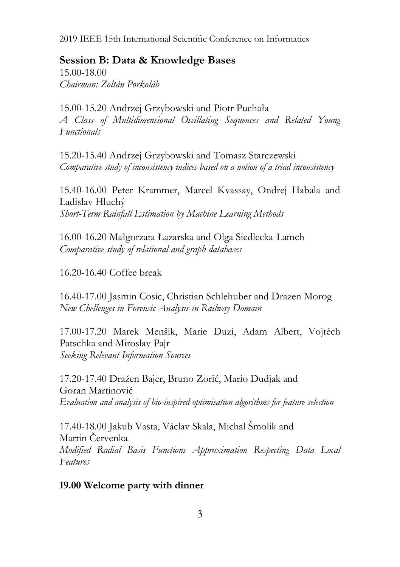## **Session B: Data & Knowledge Bases**

15.00-18.00 *Chairman: Zoltán Porkoláb*

15.00-15.20 Andrzej Grzybowski and Piotr Puchała *A Class of Multidimensional Oscillating Sequences and Related Young Functionals*

15.20-15.40 Andrzej Grzybowski and Tomasz Starczewski *Comparative study of inconsistency indices based on a notion of a triad inconsistency*

15.40-16.00 Peter Krammer, Marcel Kvassay, Ondrej Habala and Ladislav Hluchý *Short-Term Rainfall Estimation by Machine Learning Methods*

16.00-16.20 Małgorzata Łazarska and Olga Siedlecka-Lamch *Comparative study of relational and graph databases*

16.20-16.40 Coffee break

16.40-17.00 Jasmin Cosic, Christian Schlehuber and Drazen Morog *New Chellenges in Forensic Analysis in Railway Domain*

17.00-17.20 Marek Menšik, Marie Duzi, Adam Albert, Vojtěch Patschka and Miroslav Pajr *Seeking Relevant Information Sources*

17.20-17.40 Dražen Bajer, Bruno Zorić, Mario Dudjak and Goran Martinović *Evaluation and analysis of bio-inspired optimisation algorithms for feature selection*

17.40-18.00 Jakub Vasta, Václav Skala, Michal Šmolik and Martin Červenka *Modified Radial Basis Functions Approximation Respecting Data Local Features*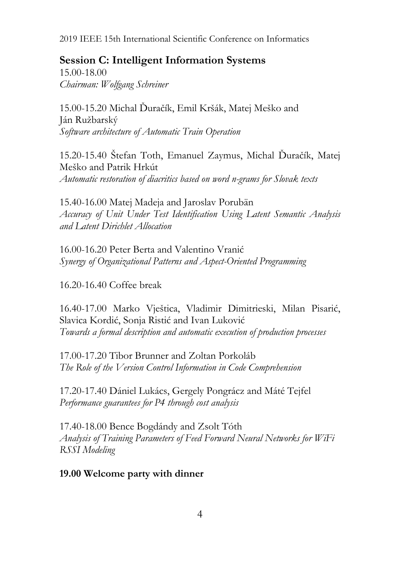## **Session C: Intelligent Information Systems**

15.00-18.00 *Chairman: Wolfgang Schreiner*

15.00-15.20 Michal Ďuračík, Emil Kršák, Matej Meško and Ján Ružbarský *Software architecture of Automatic Train Operation*

15.20-15.40 Štefan Toth, Emanuel Zaymus, Michal Ďuračík, Matej Meško and Patrik Hrkút *Automatic restoration of diacritics based on word n-grams for Slovak texts*

15.40-16.00 Matej Madeja and Jaroslav Porubän *Accuracy of Unit Under Test Identification Using Latent Semantic Analysis and Latent Dirichlet Allocation*

16.00-16.20 Peter Berta and Valentino Vranić *Synergy of Organizational Patterns and Aspect-Oriented Programming*

16.20-16.40 Coffee break

16.40-17.00 Marko Vještica, Vladimir Dimitrieski, Milan Pisarić, Slavica Kordić, Sonja Ristić and Ivan Luković *Towards a formal description and automatic execution of production processes*

17.00-17.20 Tibor Brunner and Zoltan Porkoláb *The Role of the Version Control Information in Code Comprehension*

17.20-17.40 Dániel Lukács, Gergely Pongrácz and Máté Tejfel *Performance guarantees for P4 through cost analysis*

17.40-18.00 Bence Bogdándy and Zsolt Tóth *Analysis of Training Parameters of Feed Forward Neural Networks for WiFi RSSI Modeling*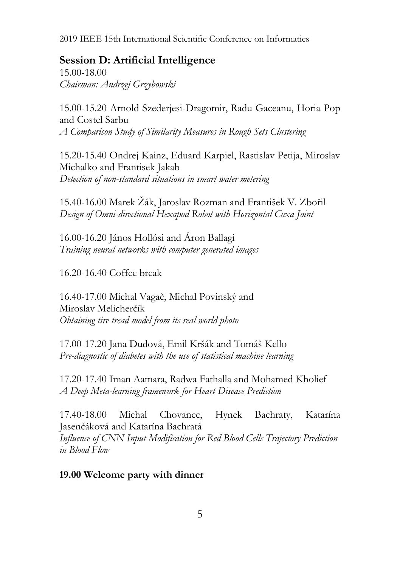### **Session D: Artificial Intelligence**

15.00-18.00 *Chairman: Andrzej Grzybowski*

15.00-15.20 Arnold Szederjesi-Dragomir, Radu Gaceanu, Horia Pop and Costel Sarbu *A Comparison Study of Similarity Measures in Rough Sets Clustering*

15.20-15.40 Ondrej Kainz, Eduard Karpiel, Rastislav Petija, Miroslav Michalko and Frantisek Jakab *Detection of non-standard situations in smart water metering*

15.40-16.00 Marek Žák, Jaroslav Rozman and František V. Zbořil *Design of Omni-directional Hexapod Robot with Horizontal Coxa Joint*

16.00-16.20 János Hollósi and Áron Ballagi *Training neural networks with computer generated images*

16.20-16.40 Coffee break

16.40-17.00 Michal Vagač, Michal Povinský and Miroslav Melicherčík *Obtaining tire tread model from its real world photo*

17.00-17.20 Jana Dudová, Emil Kršák and Tomáš Kello *Pre-diagnostic of diabetes with the use of statistical machine learning*

17.20-17.40 Iman Aamara, Radwa Fathalla and Mohamed Kholief *A Deep Meta-learning framework for Heart Disease Prediction*

17.40-18.00 Michal Chovanec, Hynek Bachraty, Katarína Jasenčáková and Katarína Bachratá *Influence of CNN Input Modification for Red Blood Cells Trajectory Prediction in Blood Flow*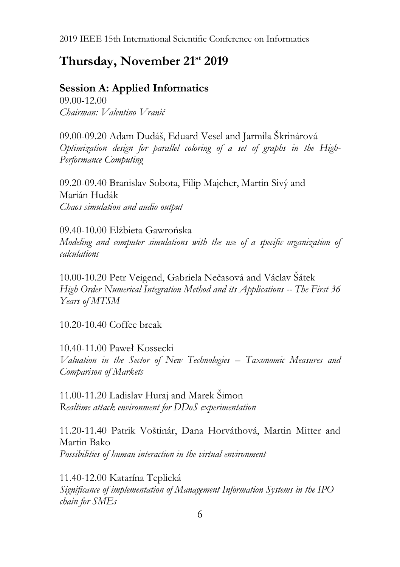# **Thursday, November 21st 2019**

### **Session A: Applied Informatics**

09.00-12.00 *Chairman: Valentino Vranić*

09.00-09.20 Adam Dudáš, Eduard Vesel and Jarmila Škrinárová *Optimization design for parallel coloring of a set of graphs in the High-Performance Computing*

09.20-09.40 Branislav Sobota, Filip Majcher, Martin Sivý and Marián Hudák *Chaos simulation and audio output*

09.40-10.00 Elżbieta Gawrońska *Modeling and computer simulations with the use of a specific organization of calculations*

10.00-10.20 Petr Veigend, Gabriela Nečasová and Václav Šátek *High Order Numerical Integration Method and its Applications -- The First 36 Years of MTSM*

10.20-10.40 Coffee break

10.40-11.00 Paweł Kossecki *Valuation in the Sector of New Technologies – Taxonomic Measures and Comparison of Markets*

11.00-11.20 Ladislav Huraj and Marek Šimon *Realtime attack environment for DDoS experimentation*

11.20-11.40 Patrik Voštinár, Dana Horváthová, Martin Mitter and Martin Bako *Possibilities of human interaction in the virtual environment*

11.40-12.00 Katarína Teplická *Significance of implementation of Management Information Systems in the IPO chain for SMEs*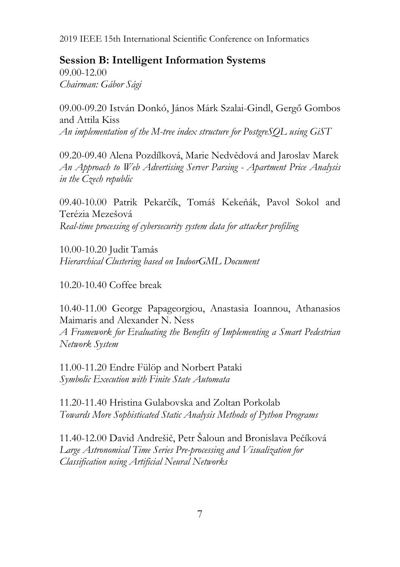## **Session B: Intelligent Information Systems**

09.00-12.00 *Chairman: Gábor Sági*

09.00-09.20 István Donkó, János Márk Szalai-Gindl, Gergő Gombos and Attila Kiss *An implementation of the M-tree index structure for PostgreSQL using GiST*

09.20-09.40 Alena Pozdílková, Marie Nedvědová and Jaroslav Marek *An Approach to Web Advertising Server Parsing - Apartment Price Analysis in the Czech republic*

09.40-10.00 Patrik Pekarčík, Tomáš Kekeňák, Pavol Sokol and Terézia Mezešová *Real-time processing of cybersecurity system data for attacker profiling*

10.00-10.20 Judit Tamás *Hierarchical Clustering based on IndoorGML Document*

10.20-10.40 Coffee break

10.40-11.00 George Papageorgiou, Anastasia Ioannou, Athanasios Maimaris and Alexander N. Ness

*A Framework for Evaluating the Benefits of Implementing a Smart Pedestrian Network System*

11.00-11.20 Endre Fülöp and Norbert Pataki *Symbolic Execution with Finite State Automata*

11.20-11.40 Hristina Gulabovska and Zoltan Porkolab *Towards More Sophisticated Static Analysis Methods of Python Programs*

11.40-12.00 David Andrešič, Petr Šaloun and Bronislava Pečíková *Large Astronomical Time Series Pre-processing and Visualization for Classification using Artificial Neural Networks*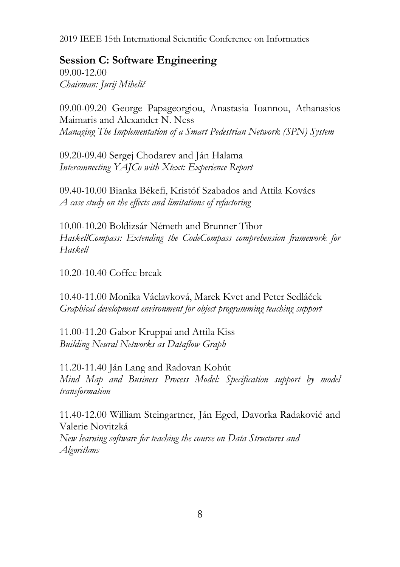### **Session C: Software Engineering**

09.00-12.00 *Chairman: Jurij Mihelič*

09.00-09.20 George Papageorgiou, Anastasia Ioannou, Athanasios Maimaris and Alexander N. Ness *Managing The Implementation of a Smart Pedestrian Network (SPN) System*

09.20-09.40 Sergej Chodarev and Ján Halama *Interconnecting YAJCo with Xtext: Experience Report*

09.40-10.00 Bianka Békefi, Kristóf Szabados and Attila Kovács *A case study on the effects and limitations of refactoring*

10.00-10.20 Boldizsár Németh and Brunner Tibor *HaskellCompass: Extending the CodeCompass comprehension framework for Haskell*

10.20-10.40 Coffee break

10.40-11.00 Monika Václavková, Marek Kvet and Peter Sedláček *Graphical development environment for object programming teaching support*

11.00-11.20 Gabor Kruppai and Attila Kiss *Building Neural Networks as Dataflow Graph*

11.20-11.40 Ján Lang and Radovan Kohút *Mind Map and Business Process Model: Specification support by model transformation*

11.40-12.00 William Steingartner, Ján Eged, Davorka Radaković and Valerie Novitzká *New learning software for teaching the course on Data Structures and Algorithms*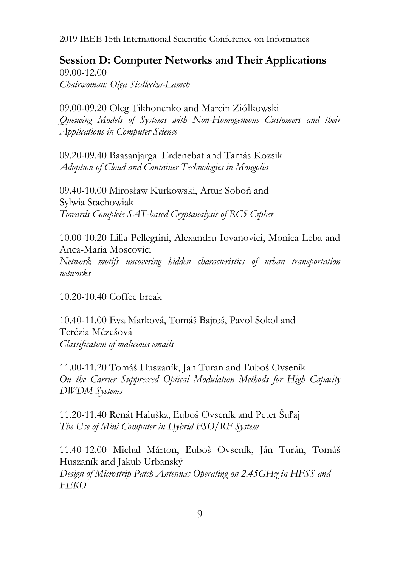**Session D: Computer Networks and Their Applications** 09.00-12.00 *Chairwoman: Olga Siedlecka-Lamch*

09.00-09.20 Oleg Tikhonenko and Marcin Ziółkowski *Queueing Models of Systems with Non-Homogeneous Customers and their Applications in Computer Science*

09.20-09.40 Baasanjargal Erdenebat and Tamás Kozsik *Adoption of Cloud and Container Technologies in Mongolia*

09.40-10.00 Mirosław Kurkowski, Artur Soboń and Sylwia Stachowiak *Towards Complete SAT-based Cryptanalysis of RC5 Cipher*

10.00-10.20 Lilla Pellegrini, Alexandru Iovanovici, Monica Leba and Anca-Maria Moscovici *Network motifs uncovering hidden characteristics of urban transportation networks*

10.20-10.40 Coffee break

10.40-11.00 Eva Marková, Tomáš Bajtoš, Pavol Sokol and Terézia Mézešová *Classification of malicious emails*

11.00-11.20 Tomáš Huszaník, Jan Turan and Ľuboš Ovseník *On the Carrier Suppressed Optical Modulation Methods for High Capacity DWDM Systems*

11.20-11.40 Renát Haluška, Ľuboš Ovseník and Peter Šuľaj *The Use of Mini Computer in Hybrid FSO/RF System*

11.40-12.00 Michal Márton, Ľuboš Ovseník, Ján Turán, Tomáš Huszaník and Jakub Urbanský *Design of Microstrip Patch Antennas Operating on 2.45GHz in HFSS and FEKO*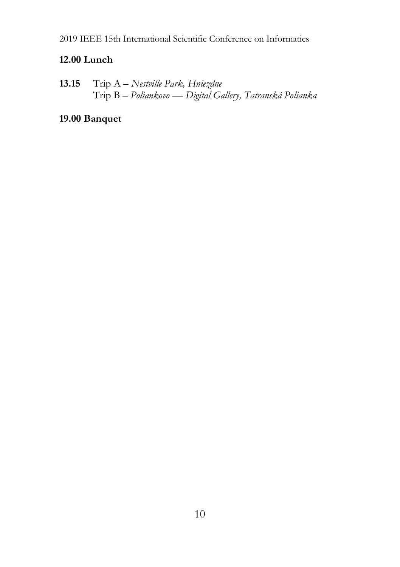### **12.00 Lunch**

**13.15** Trip A – *Nestville Park, Hniezdne* Trip B – *Poliankovo — Digital Gallery, Tatranská Polianka*

# **19.00 Banquet**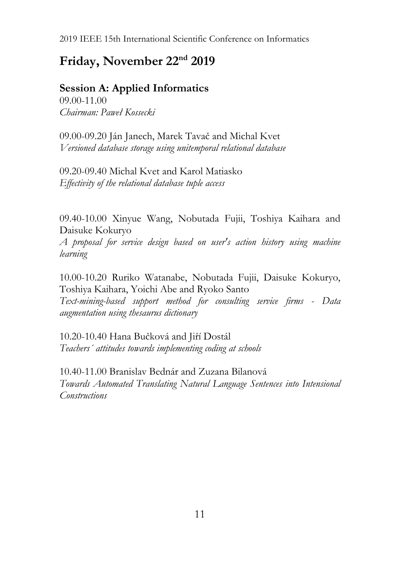# **Friday, November 22nd 2019**

**Session A: Applied Informatics** 09.00-11.00

*Chairman: Paweł Kossecki*

09.00-09.20 Ján Janech, Marek Tavač and Michal Kvet *Versioned database storage using unitemporal relational database*

09.20-09.40 Michal Kvet and Karol Matiasko *Effectivity of the relational database tuple access*

09.40-10.00 Xinyue Wang, Nobutada Fujii, Toshiya Kaihara and Daisuke Kokuryo

*A proposal for service design based on user's action history using machine learning*

10.00-10.20 Ruriko Watanabe, Nobutada Fujii, Daisuke Kokuryo, Toshiya Kaihara, Yoichi Abe and Ryoko Santo *Text-mining-based support method for consulting service firms - Data augmentation using thesaurus dictionary*

10.20-10.40 Hana Bučková and Jiří Dostál *Teachers´ attitudes towards implementing coding at schools*

10.40-11.00 Branislav Bednár and Zuzana Bilanová *Towards Automated Translating Natural Language Sentences into Intensional Constructions*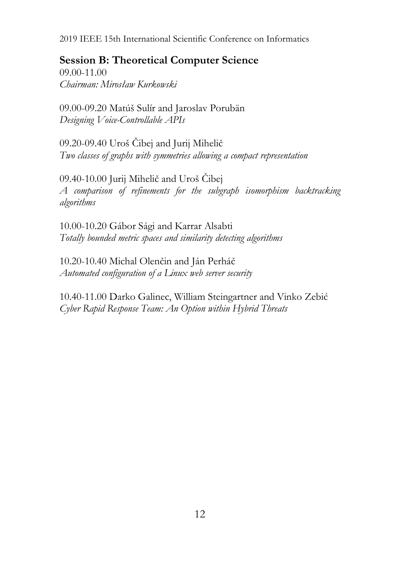### **Session B: Theoretical Computer Science**

09.00-11.00 *Chairman: Mirosław Kurkowski*

09.00-09.20 Matúš Sulír and Jaroslav Porubän *Designing Voice-Controllable APIs*

09.20-09.40 Uroš Čibej and Jurij Mihelič *Two classes of graphs with symmetries allowing a compact representation*

09.40-10.00 Jurij Mihelič and Uroš Čibej *A comparison of refinements for the subgraph isomorphism backtracking algorithms*

10.00-10.20 Gábor Sági and Karrar Alsabti *Totally bounded metric spaces and similarity detecting algorithms*

10.20-10.40 Michal Olenčin and Ján Perháč *Automated configuration of a Linux web server security*

10.40-11.00 Darko Galinec, William Steingartner and Vinko Zebić *Cyber Rapid Response Team: An Option within Hybrid Threats*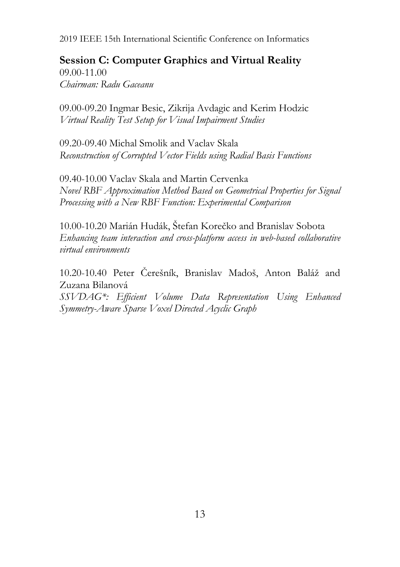**Session C: Computer Graphics and Virtual Reality** 09.00-11.00 *Chairman: Radu Gaceanu*

09.00-09.20 Ingmar Besic, Zikrija Avdagic and Kerim Hodzic *Virtual Reality Test Setup for Visual Impairment Studies*

09.20-09.40 Michal Smolik and Vaclav Skala *Reconstruction of Corrupted Vector Fields using Radial Basis Functions*

09.40-10.00 Vaclav Skala and Martin Cervenka *Novel RBF Approximation Method Based on Geometrical Properties for Signal Processing with a New RBF Function: Experimental Comparison*

10.00-10.20 Marián Hudák, Štefan Korečko and Branislav Sobota *Enhancing team interaction and cross-platform access in web-based collaborative virtual environments*

10.20-10.40 Peter Čerešník, Branislav Madoš, Anton Baláž and Zuzana Bilanová

*SSVDAG\*: Efficient Volume Data Representation Using Enhanced Symmetry-Aware Sparse Voxel Directed Acyclic Graph*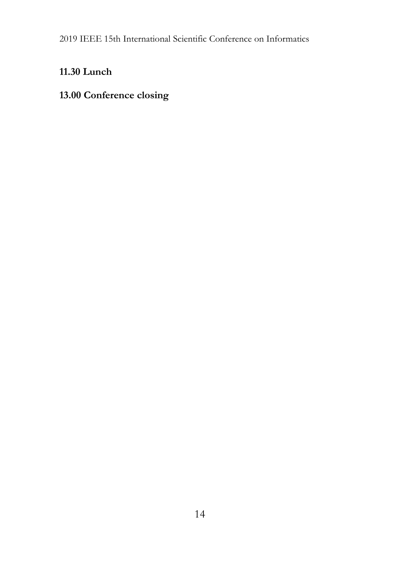# **11.30 Lunch**

# **13.00 Conference closing**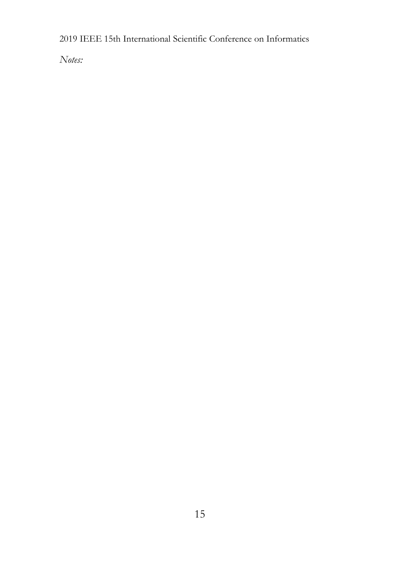*Notes:*